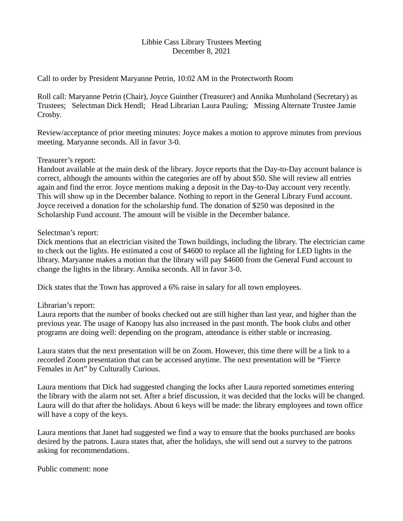### Libbie Cass Library Trustees Meeting December 8, 2021

Call to order by President Maryanne Petrin, 10:02 AM in the Protectworth Room

Roll call: Maryanne Petrin (Chair), Joyce Guinther (Treasurer) and Annika Munholand (Secretary) as Trustees; Selectman Dick Hendl; Head Librarian Laura Pauling; Missing Alternate Trustee Jamie Crosby.

Review/acceptance of prior meeting minutes: Joyce makes a motion to approve minutes from previous meeting. Maryanne seconds. All in favor 3-0.

## Treasurer's report:

Handout available at the main desk of the library. Joyce reports that the Day-to-Day account balance is correct, although the amounts within the categories are off by about \$50. She will review all entries again and find the error. Joyce mentions making a deposit in the Day-to-Day account very recently. This will show up in the December balance. Nothing to report in the General Library Fund account. Joyce received a donation for the scholarship fund. The donation of \$250 was deposited in the Scholarship Fund account. The amount will be visible in the December balance.

## Selectman's report:

Dick mentions that an electrician visited the Town buildings, including the library. The electrician came to check out the lights. He estimated a cost of \$4600 to replace all the lighting for LED lights in the library. Maryanne makes a motion that the library will pay \$4600 from the General Fund account to change the lights in the library. Annika seconds. All in favor 3-0.

Dick states that the Town has approved a 6% raise in salary for all town employees.

# Librarian's report:

Laura reports that the number of books checked out are still higher than last year, and higher than the previous year. The usage of Kanopy has also increased in the past month. The book clubs and other programs are doing well: depending on the program, attendance is either stable or increasing.

Laura states that the next presentation will be on Zoom. However, this time there will be a link to a recorded Zoom presentation that can be accessed anytime. The next presentation will be "Fierce Females in Art" by Culturally Curious.

Laura mentions that Dick had suggested changing the locks after Laura reported sometimes entering the library with the alarm not set. After a brief discussion, it was decided that the locks will be changed. Laura will do that after the holidays. About 6 keys will be made: the library employees and town office will have a copy of the keys.

Laura mentions that Janet had suggested we find a way to ensure that the books purchased are books desired by the patrons. Laura states that, after the holidays, she will send out a survey to the patrons asking for recommendations.

Public comment: none